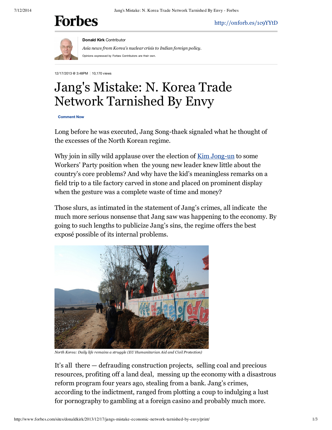## **Forbes**

## <http://onforb.es/1c9YYtD>



**[Donald](http://www.forbes.com/sites/donaldkirk/) Kirk** Contributor

*Asia news from Korea's nuclear crisis to Indian foreign policy.* Opinions expressed by Forbes Contributors are their own.

12/17/2013 @ 3:48PM 10.170 views

## Jang's Mistake: N. Korea Trade Network Tarnished By Envy

**Comment Now**

Long before he was executed, Jang Song-thaek signaled what he thought of the excesses of the North Korean regime.

Why join in silly wild applause over the election of **Kim [Jong-un](http://www.forbes.com/profile/kim-jong-un/)** to some Workers' Party position when the young new leader knew little about the country's core problems? And why have the kid's meaningless remarks on a field trip to a tile factory carved in stone and placed on prominent display when the gesture was a complete waste of time and money?

Those slurs, as intimated in the statement of Jang's crimes, all indicate the much more serious nonsense that Jang saw was happening to the economy. By going to such lengths to publicize Jang's sins, the regime offers the best exposé possible of its internal problems.



*North Korea: Daily life remains a struggle (EU Humanitarian Aid and Civil Protection)*

It's all there — defrauding construction projects, selling coal and precious resources, profiting off a land deal, messing up the economy with a disastrous reform program four years ago, stealing from a bank. Jang's crimes, according to the indictment, ranged from plotting a coup to indulging a lust for pornography to gambling at a foreign casino and probably much more.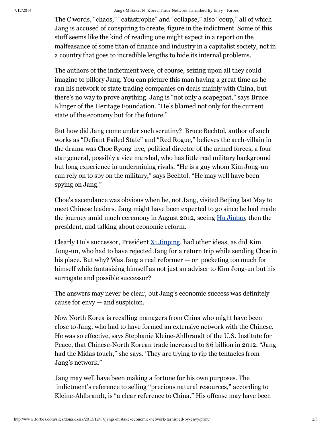7/12/2014 Jang's Mistake: N. Korea Trade Network Tarnished By Envy - Forbes

The C words, "chaos," "catastrophe" and "collapse," also "coup," all of which Jang is accused of conspiring to create, figure in the indictment Some of this stuff seems like the kind of reading one might expect in a report on the malfeasance of some titan of finance and industry in a capitalist society, not in a country that goes to incredible lengths to hide its internal problems.

The authors of the indictment were, of course, seizing upon all they could imagine to pillory Jang. You can picture this man having a great time as he ran his network of state trading companies on deals mainly with China, but there's no way to prove anything. Jang is "not only a scapegoat," says Bruce Klinger of the Heritage Foundation. "He's blamed not only for the current state of the economy but for the future."

But how did Jang come under such scrutiny? Bruce Bechtol, author of such works as "Defiant Failed State" and "Red Rogue," believes the arch-villain in the drama was Choe Ryong-hye, political director of the armed forces, a fourstar general, possibly a vice marshal, who has little real military background but long experience in undermining rivals. "He is a guy whom Kim Jong-un can rely on to spy on the military," says Bechtol. "He may well have been spying on Jang."

Choe's ascendance was obvious when he, not Jang, visited Beijing last May to meet Chinese leaders. Jang might have been expected to go since he had made the journey amid much ceremony in August 2012, seeing Hu [Jintao](http://www.forbes.com/profile/jintao-hu/), then the president, and talking about economic reform.

Clearly Hu's successor, President Xi [Jinping,](http://www.forbes.com/profile/xi-jinping/) had other ideas, as did Kim Jong-un, who had to have rejected Jang for a return trip while sending Choe in his place. But why? Was Jang a real reformer — or pocketing too much for himself while fantasizing himself as not just an adviser to Kim Jong-un but his surrogate and possible successor?

The answers may never be clear, but Jang's economic success was definitely cause for envy — and suspicion.

Now North Korea is recalling managers from China who might have been close to Jang, who had to have formed an extensive network with the Chinese. He was so effective, says Stephanie Kleine-Ahlbrandt of the U.S. Institute for Peace, that Chinese-North Korean trade increased to \$6 billion in 2012. "Jang had the Midas touch," she says. 'They are trying to rip the tentacles from Jang's network."

Jang may well have been making a fortune for his own purposes. The indictment's reference to selling "precious natural resources," according to Kleine-Ahlbrandt, is "a clear reference to China." His offense may have been